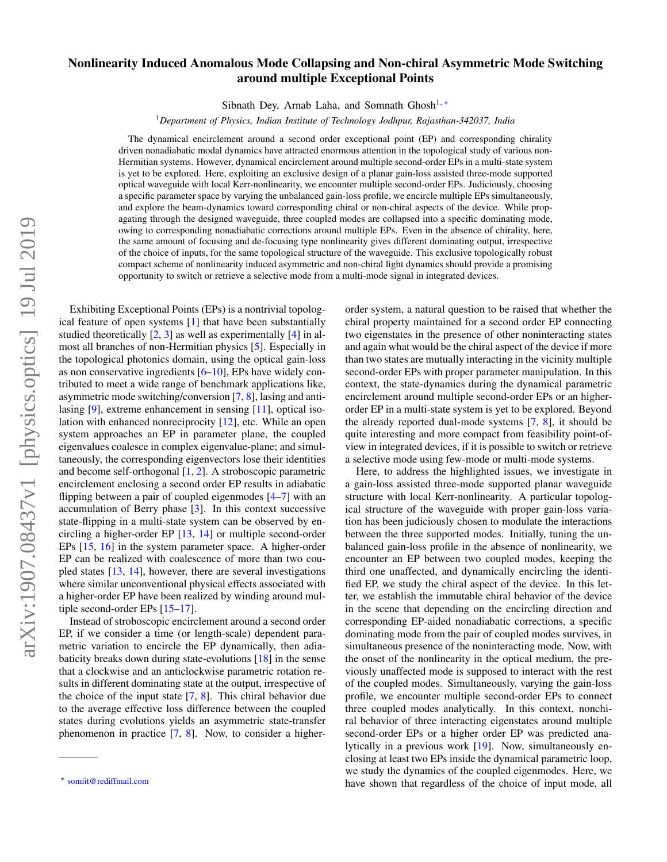## Nonlinearity Induced Anomalous Mode Collapsing and Non-chiral Asymmetric Mode Switching around multiple Exceptional Points

Sibnath Dey, Arnab Laha, and Somnath Ghosh<sup>1, ∗</sup>

<sup>1</sup>*Department of Physics, Indian Institute of Technology Jodhpur, Rajasthan-342037, India*

The dynamical encirclement around a second order exceptional point (EP) and corresponding chirality driven nonadiabatic modal dynamics have attracted enormous attention in the topological study of various non-Hermitian systems. However, dynamical encirclement around multiple second-order EPs in a multi-state system is yet to be explored. Here, exploiting an exclusive design of a planar gain-loss assisted three-mode supported optical waveguide with local Kerr-nonlinearity, we encounter multiple second-order EPs. Judiciously, choosing a specific parameter space by varying the unbalanced gain-loss profile, we encircle multiple EPs simultaneously, and explore the beam-dynamics toward corresponding chiral or non-chiral aspects of the device. While propagating through the designed waveguide, three coupled modes are collapsed into a specific dominating mode, owing to corresponding nonadiabatic corrections around multiple EPs. Even in the absence of chirality, here, the same amount of focusing and de-focusing type nonlinearity gives different dominating output, irrespective of the choice of inputs, for the same topological structure of the waveguide. This exclusive topologically robust compact scheme of nonlinearity induced asymmetric and non-chiral light dynamics should provide a promising opportunity to switch or retrieve a selective mode from a multi-mode signal in integrated devices.

Exhibiting Exceptional Points (EPs) is a nontrivial topological feature of open systems [1] that have been substantially studied theoretically  $[2, 3]$  as well as experimentally  $[4]$  in almost all branches of non-Hermitian physics [5]. Especially in the topological photonics domain, using the optical gain-loss as non conservative ingredients [6–10], EPs have widely contributed to meet a wide range of benchmark applications like, asymmetric mode switching/conversion [7, 8], lasing and antilasing [9], extreme enhancement in sensing [11], optical isolation with enhanced nonreciprocity [12], etc. While an open system approaches an EP in parameter plane, the coupled eigenvalues coalesce in complex eigenvalue-plane; and simultaneously, the corresponding eigenvectors lose their identities and become self-orthogonal [1, 2]. A stroboscopic parametric encirclement enclosing a second order EP results in adiabatic flipping between a pair of coupled eigenmodes [4–7] with an accumulation of Berry phase [3]. In this context successive state-flipping in a multi-state system can be observed by encircling a higher-order EP [13, 14] or multiple second-order EPs [15, 16] in the system parameter space. A higher-order EP can be realized with coalescence of more than two coupled states [13, 14], however, there are several investigations where similar unconventional physical effects associated with a higher-order EP have been realized by winding around multiple second-order EPs [15–17].

Instead of stroboscopic encirclement around a second order EP, if we consider a time (or length-scale) dependent parametric variation to encircle the EP dynamically, then adiabaticity breaks down during state-evolutions [18] in the sense that a clockwise and an anticlockwise parametric rotation results in different dominating state at the output, irrespective of the choice of the input state  $[7, 8]$ . This chiral behavior due to the average effective loss difference between the coupled states during evolutions yields an asymmetric state-transfer phenomenon in practice [7, 8]. Now, to consider a higherorder system, a natural question to be raised that whether the chiral property maintained for a second order EP connecting two eigenstates in the presence of other noninteracting states and again what would be the chiral aspect of the device if more than two states are mutually interacting in the vicinity multiple second-order EPs with proper parameter manipulation. In this context, the state-dynamics during the dynamical parametric encirclement around multiple second-order EPs or an higherorder EP in a multi-state system is yet to be explored. Beyond the already reported dual-mode systems [7, 8], it should be quite interesting and more compact from feasibility point-ofview in integrated devices, if it is possible to switch or retrieve a selective mode using few-mode or multi-mode systems.

Here, to address the highlighted issues, we investigate in a gain-loss assisted three-mode supported planar waveguide structure with local Kerr-nonlinearity. A particular topological structure of the waveguide with proper gain-loss variation has been judiciously chosen to modulate the interactions between the three supported modes. Initially, tuning the unbalanced gain-loss profile in the absence of nonlinearity, we encounter an EP between two coupled modes, keeping the third one unaffected, and dynamically encircling the identified EP, we study the chiral aspect of the device. In this letter, we establish the immutable chiral behavior of the device in the scene that depending on the encircling direction and corresponding EP-aided nonadiabatic corrections, a specific dominating mode from the pair of coupled modes survives, in simultaneous presence of the noninteracting mode. Now, with the onset of the nonlinearity in the optical medium, the previously unaffected mode is supposed to interact with the rest of the coupled modes. Simultaneously, varying the gain-loss profile, we encounter multiple second-order EPs to connect three coupled modes analytically. In this context, nonchiral behavior of three interacting eigenstates around multiple second-order EPs or a higher order EP was predicted analytically in a previous work [19]. Now, simultaneously enclosing at least two EPs inside the dynamical parametric loop, we study the dynamics of the coupled eigenmodes. Here, we have shown that regardless of the choice of input mode, all

<sup>∗</sup> somiit@rediffmail.com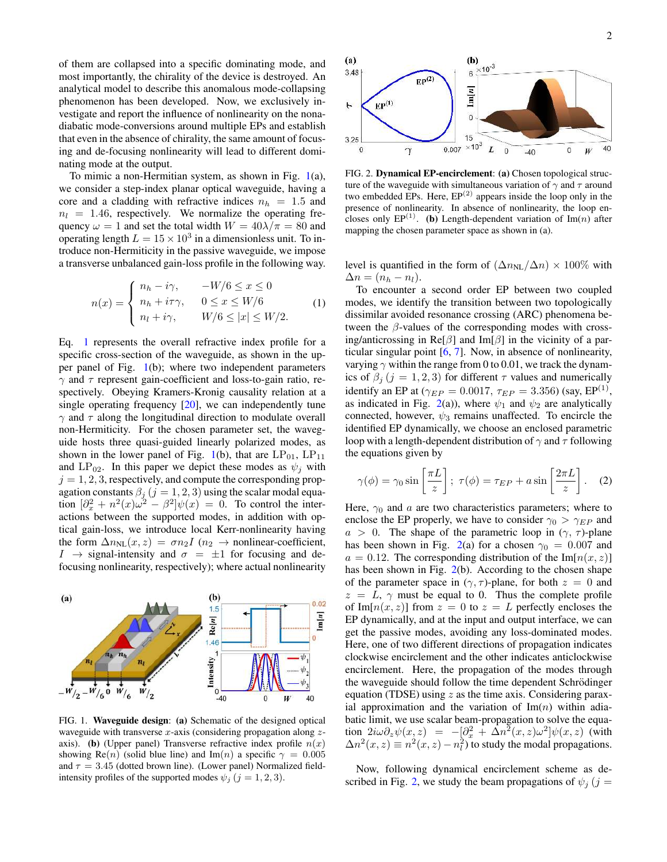of them are collapsed into a specific dominating mode, and most importantly, the chirality of the device is destroyed. An analytical model to describe this anomalous mode-collapsing phenomenon has been developed. Now, we exclusively investigate and report the influence of nonlinearity on the nonadiabatic mode-conversions around multiple EPs and establish that even in the absence of chirality, the same amount of focusing and de-focusing nonlinearity will lead to different dominating mode at the output.

To mimic a non-Hermitian system, as shown in Fig. 1(a), we consider a step-index planar optical waveguide, having a core and a cladding with refractive indices  $n_h = 1.5$  and  $n_l = 1.46$ , respectively. We normalize the operating frequency  $\omega = 1$  and set the total width  $W = 40\lambda/\pi = 80$  and operating length  $L = 15 \times 10^3$  in a dimensionless unit. To introduce non-Hermiticity in the passive waveguide, we impose a transverse unbalanced gain-loss profile in the following way.

$$
n(x) = \begin{cases} n_h - i\gamma, & -W/6 \le x \le 0 \\ n_h + i\tau\gamma, & 0 \le x \le W/6 \\ n_l + i\gamma, & W/6 \le |x| \le W/2. \end{cases}
$$
 (1)

Eq. 1 represents the overall refractive index profile for a specific cross-section of the waveguide, as shown in the upper panel of Fig. 1(b); where two independent parameters  $\gamma$  and  $\tau$  represent gain-coefficient and loss-to-gain ratio, respectively. Obeying Kramers-Kronig causality relation at a single operating frequency  $[20]$ , we can independently tune  $\gamma$  and  $\tau$  along the longitudinal direction to modulate overall non-Hermiticity. For the chosen parameter set, the waveguide hosts three quasi-guided linearly polarized modes, as shown in the lower panel of Fig. 1(b), that are  $LP_{01}$ ,  $LP_{11}$ and  $LP_{02}$ . In this paper we depict these modes as  $\psi_i$  with  $j = 1, 2, 3$ , respectively, and compute the corresponding propagation constants  $\beta_j$   $(j = 1, 2, 3)$  using the scalar modal equation  $\left[\partial_x^2 + n^2(x)\omega^2 - \beta^2\right]\psi(x) = 0$ . To control the interactions between the supported modes, in addition with optical gain-loss, we introduce local Kerr-nonlinearity having the form  $\Delta n_{NL}(x, z) = \sigma n_2 I$  ( $n_2 \rightarrow$  nonlinear-coefficient,  $I \rightarrow$  signal-intensity and  $\sigma = \pm 1$  for focusing and defocusing nonlinearity, respectively); where actual nonlinearity



FIG. 1. Waveguide design: (a) Schematic of the designed optical waveguide with transverse  $x$ -axis (considering propagation along  $z$ axis). (b) (Upper panel) Transverse refractive index profile  $n(x)$ showing Re(n) (solid blue line) and Im(n) a specific  $\gamma = 0.005$ and  $\tau = 3.45$  (dotted brown line). (Lower panel) Normalized fieldintensity profiles of the supported modes  $\psi_j$   $(j = 1, 2, 3)$ .



FIG. 2. Dynamical EP-encirclement: (a) Chosen topological structure of the waveguide with simultaneous variation of  $\gamma$  and  $\tau$  around two embedded EPs. Here,  $EP^{(2)}$  appears inside the loop only in the presence of nonlinearity. In absence of nonlinearity, the loop encloses only  $EP^{(1)}$ . (b) Length-dependent variation of Im(n) after mapping the chosen parameter space as shown in (a).

level is quantified in the form of  $(\Delta n_{NL}/\Delta n) \times 100\%$  with  $\Delta n = (n_h - n_l).$ 

To encounter a second order EP between two coupled modes, we identify the transition between two topologically dissimilar avoided resonance crossing (ARC) phenomena between the  $\beta$ -values of the corresponding modes with crossing/anticrossing in Re[ $\beta$ ] and Im[ $\beta$ ] in the vicinity of a particular singular point [6, 7]. Now, in absence of nonlinearity, varying  $\gamma$  within the range from 0 to 0.01, we track the dynamics of  $\beta_i$  (j = 1, 2, 3) for different  $\tau$  values and numerically identify an EP at ( $\gamma_{EP} = 0.0017$ ,  $\tau_{EP} = 3.356$ ) (say, EP<sup>(1)</sup>, as indicated in Fig. 2(a)), where  $\psi_1$  and  $\psi_2$  are analytically connected, however,  $\psi_3$  remains unaffected. To encircle the identified EP dynamically, we choose an enclosed parametric loop with a length-dependent distribution of  $\gamma$  and  $\tau$  following the equations given by

$$
\gamma(\phi) = \gamma_0 \sin\left[\frac{\pi L}{z}\right]; \ \tau(\phi) = \tau_{EP} + a \sin\left[\frac{2\pi L}{z}\right]. \tag{2}
$$

Here,  $\gamma_0$  and a are two characteristics parameters; where to enclose the EP properly, we have to consider  $\gamma_0 > \gamma_{EP}$  and  $a > 0$ . The shape of the parametric loop in  $(\gamma, \tau)$ -plane has been shown in Fig. 2(a) for a chosen  $\gamma_0 = 0.007$  and  $a = 0.12$ . The corresponding distribution of the Im[ $n(x, z)$ ] has been shown in Fig. 2(b). According to the chosen shape of the parameter space in  $(\gamma, \tau)$ -plane, for both  $z = 0$  and  $z = L$ ,  $\gamma$  must be equal to 0. Thus the complete profile of Im $[n(x, z)]$  from  $z = 0$  to  $z = L$  perfectly encloses the EP dynamically, and at the input and output interface, we can get the passive modes, avoiding any loss-dominated modes. Here, one of two different directions of propagation indicates clockwise encirclement and the other indicates anticlockwise encirclement. Here, the propagation of the modes through the waveguide should follow the time dependent Schrödinger equation (TDSE) using  $z$  as the time axis. Considering paraxial approximation and the variation of  $\text{Im}(n)$  within adiabatic limit, we use scalar beam-propagation to solve the equation 2 $i\omega \partial_z \psi(x,z) = -[\partial_x^2 + \Delta n^2(x,z)\omega^2] \psi(x,z)$  (with  $\Delta n^2(x, z) \equiv n^2(x, z) - n_l^2$  to study the modal propagations.

Now, following dynamical encirclement scheme as described in Fig. 2, we study the beam propagations of  $\psi_i$  (j =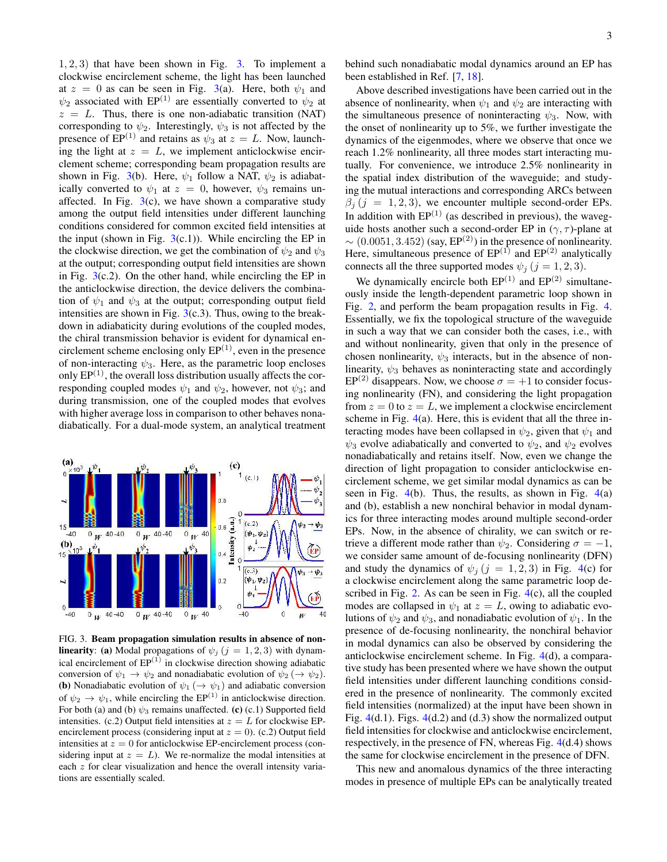$1, 2, 3$ ) that have been shown in Fig. 3. To implement a clockwise encirclement scheme, the light has been launched at  $z = 0$  as can be seen in Fig. 3(a). Here, both  $\psi_1$  and  $\psi_2$  associated with EP<sup>(1)</sup> are essentially converted to  $\psi_2$  at  $z = L$ . Thus, there is one non-adiabatic transition (NAT) corresponding to  $\psi_2$ . Interestingly,  $\psi_3$  is not affected by the presence of EP<sup>(1)</sup> and retains as  $\psi_3$  at  $z = L$ . Now, launching the light at  $z = L$ , we implement anticlockwise encirclement scheme; corresponding beam propagation results are shown in Fig. 3(b). Here,  $\psi_1$  follow a NAT,  $\psi_2$  is adiabatically converted to  $\psi_1$  at  $z = 0$ , however,  $\psi_3$  remains unaffected. In Fig.  $3(c)$ , we have shown a comparative study among the output field intensities under different launching conditions considered for common excited field intensities at the input (shown in Fig.  $3(c.1)$ ). While encircling the EP in the clockwise direction, we get the combination of  $\psi_2$  and  $\psi_3$ at the output; corresponding output field intensities are shown in Fig.  $3(c.2)$ . On the other hand, while encircling the EP in the anticlockwise direction, the device delivers the combination of  $\psi_1$  and  $\psi_3$  at the output; corresponding output field intensities are shown in Fig.  $3(c.3)$ . Thus, owing to the breakdown in adiabaticity during evolutions of the coupled modes, the chiral transmission behavior is evident for dynamical encirclement scheme enclosing only  $EP^{(1)}$ , even in the presence of non-interacting  $\psi_3$ . Here, as the parametric loop encloses only  $EP<sup>(1)</sup>$ , the overall loss distribution usually affects the corresponding coupled modes  $\psi_1$  and  $\psi_2$ , however, not  $\psi_3$ ; and during transmission, one of the coupled modes that evolves with higher average loss in comparison to other behaves nonadiabatically. For a dual-mode system, an analytical treatment



FIG. 3. Beam propagation simulation results in absence of non**linearity:** (a) Modal propagations of  $\psi_j$  ( $j = 1, 2, 3$ ) with dynamical encirclement of  $EP^{(1)}$  in clockwise direction showing adiabatic conversion of  $\psi_1 \to \psi_2$  and nonadiabatic evolution of  $\psi_2 \to \psi_2$ ). (b) Nonadiabatic evolution of  $\psi_1 \rightarrow \psi_1$  and adiabatic conversion of  $\psi_2 \to \psi_1$ , while encircling the EP<sup>(1)</sup> in anticlockwise direction. For both (a) and (b)  $\psi_3$  remains unaffected. (c) (c.1) Supported field intensities. (c.2) Output field intensities at  $z = L$  for clockwise EPencirclement process (considering input at  $z = 0$ ). (c.2) Output field intensities at  $z = 0$  for anticlockwise EP-encirclement process (considering input at  $z = L$ ). We re-normalize the modal intensities at each z for clear visualization and hence the overall intensity variations are essentially scaled.

behind such nonadiabatic modal dynamics around an EP has been established in Ref. [7, 18].

Above described investigations have been carried out in the absence of nonlinearity, when  $\psi_1$  and  $\psi_2$  are interacting with the simultaneous presence of noninteracting  $\psi_3$ . Now, with the onset of nonlinearity up to 5%, we further investigate the dynamics of the eigenmodes, where we observe that once we reach 1.2% nonlinearity, all three modes start interacting mutually. For convenience, we introduce 2.5% nonlinearity in the spatial index distribution of the waveguide; and studying the mutual interactions and corresponding ARCs between  $\beta_i$  (j = 1, 2, 3), we encounter multiple second-order EPs. In addition with  $EP^{(1)}$  (as described in previous), the waveguide hosts another such a second-order EP in  $(\gamma, \tau)$ -plane at  $\sim (0.0051, 3.452)$  (say, EP<sup>(2)</sup>) in the presence of nonlinearity. Here, simultaneous presence of  $EP^{(1)}$  and  $EP^{(2)}$  analytically connects all the three supported modes  $\psi_j$  ( $j = 1, 2, 3$ ).

We dynamically encircle both  $EP^{(1)}$  and  $EP^{(2)}$  simultaneously inside the length-dependent parametric loop shown in Fig. 2, and perform the beam propagation results in Fig. 4. Essentially, we fix the topological structure of the waveguide in such a way that we can consider both the cases, i.e., with and without nonlinearity, given that only in the presence of chosen nonlinearity,  $\psi_3$  interacts, but in the absence of nonlinearity,  $\psi_3$  behaves as noninteracting state and accordingly  $EP^{(2)}$  disappears. Now, we choose  $\sigma = +1$  to consider focusing nonlinearity (FN), and considering the light propagation from  $z = 0$  to  $z = L$ , we implement a clockwise encirclement scheme in Fig.  $4(a)$ . Here, this is evident that all the three interacting modes have been collapsed in  $\psi_2$ , given that  $\psi_1$  and  $\psi_3$  evolve adiabatically and converted to  $\psi_2$ , and  $\psi_2$  evolves nonadiabatically and retains itself. Now, even we change the direction of light propagation to consider anticlockwise encirclement scheme, we get similar modal dynamics as can be seen in Fig.  $4(b)$ . Thus, the results, as shown in Fig.  $4(a)$ and (b), establish a new nonchiral behavior in modal dynamics for three interacting modes around multiple second-order EPs. Now, in the absence of chirality, we can switch or retrieve a different mode rather than  $\psi_2$ . Considering  $\sigma = -1$ , we consider same amount of de-focusing nonlinearity (DFN) and study the dynamics of  $\psi_j$  ( $j = 1, 2, 3$ ) in Fig. 4(c) for a clockwise encirclement along the same parametric loop described in Fig. 2. As can be seen in Fig. 4(c), all the coupled modes are collapsed in  $\psi_1$  at  $z = L$ , owing to adiabatic evolutions of  $\psi_2$  and  $\psi_3$ , and nonadiabatic evolution of  $\psi_1$ . In the presence of de-focusing nonlinearity, the nonchiral behavior in modal dynamics can also be observed by considering the anticlockwise encirclement scheme. In Fig. 4(d), a comparative study has been presented where we have shown the output field intensities under different launching conditions considered in the presence of nonlinearity. The commonly excited field intensities (normalized) at the input have been shown in Fig.  $4(d.1)$ . Figs.  $4(d.2)$  and  $(d.3)$  show the normalized output field intensities for clockwise and anticlockwise encirclement, respectively, in the presence of FN, whereas Fig. 4(d.4) shows the same for clockwise encirclement in the presence of DFN.

This new and anomalous dynamics of the three interacting modes in presence of multiple EPs can be analytically treated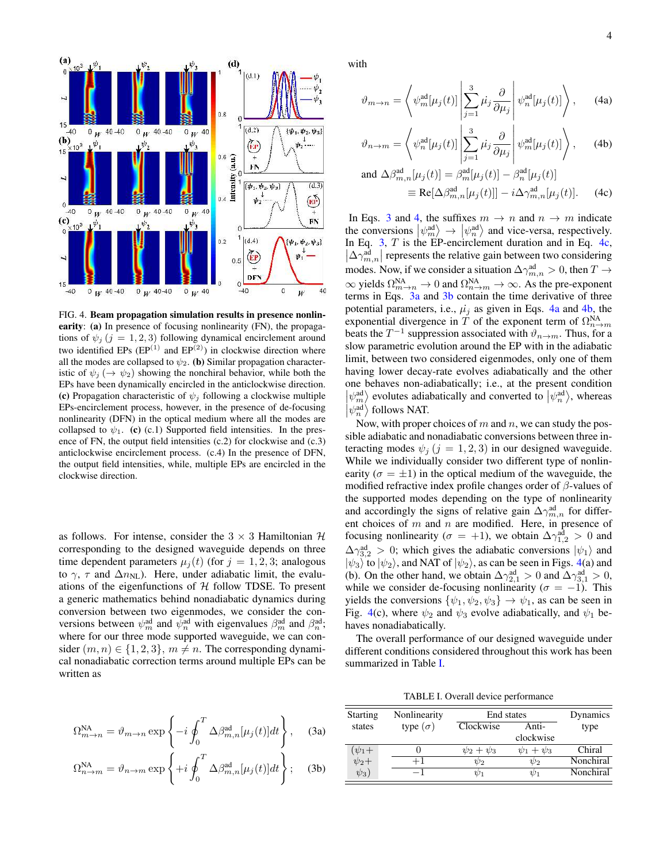

FIG. 4. Beam propagation simulation results in presence nonlinearity: (a) In presence of focusing nonlinearity (FN), the propagations of  $\psi_j$  (j = 1, 2, 3) following dynamical encirclement around two identified EPs  $(EP^{(1)}$  and  $EP^{(2)}$ ) in clockwise direction where all the modes are collapsed to  $\psi_2$ . (b) Similar propagation characteristic of  $\psi_i (\rightarrow \psi_2)$  showing the nonchiral behavior, while both the EPs have been dynamically encircled in the anticlockwise direction. (c) Propagation characteristic of  $\psi_i$  following a clockwise multiple EPs-encirclement process, however, in the presence of de-focusing nonlinearity (DFN) in the optical medium where all the modes are collapsed to  $\psi_1$ . (c) (c.1) Supported field intensities. In the presence of FN, the output field intensities (c.2) for clockwise and (c.3) anticlockwise encirclement process. (c.4) In the presence of DFN, the output field intensities, while, multiple EPs are encircled in the clockwise direction.

as follows. For intense, consider the  $3 \times 3$  Hamiltonian  $H$ corresponding to the designed waveguide depends on three time dependent parameters  $\mu_j(t)$  (for  $j = 1, 2, 3$ ; analogous to  $\gamma$ ,  $\tau$  and  $\Delta n_{\text{NL}}$ ). Here, under adiabatic limit, the evaluations of the eigenfunctions of  $H$  follow TDSE. To present a generic mathematics behind nonadiabatic dynamics during conversion between two eigenmodes, we consider the conversions between  $\psi_m^{\text{ad}}$  and  $\psi_n^{\text{ad}}$  with eigenvalues  $\beta_m^{\text{ad}}$  and  $\beta_n^{\text{ad}}$ ; where for our three mode supported waveguide, we can consider  $(m, n) \in \{1, 2, 3\}, m \neq n$ . The corresponding dynamical nonadiabatic correction terms around multiple EPs can be written as

$$
\Omega_{m \to n}^{\text{NA}} = \vartheta_{m \to n} \exp \left\{ -i \oint_0^T \Delta \beta_{m,n}^{\text{ad}} [\mu_j(t)] dt \right\}, \quad \text{(3a)}
$$

$$
\Omega_{n\to m}^{\text{NA}} = \vartheta_{n\to m} \exp\left\{ +i \oint_0^T \Delta \beta_{m,n}^{\text{ad}}[\mu_j(t)] dt \right\};\tag{3b}
$$

with

$$
\vartheta_{m \to n} = \left\langle \psi_m^{\text{ad}}[\mu_j(t)] \left| \sum_{j=1}^3 \mu_j \frac{\partial}{\partial \mu_j} \right| \psi_n^{\text{ad}}[\mu_j(t)] \right\rangle, \quad (4a)
$$

$$
\vartheta_{n \to m} = \left\langle \psi_n^{\text{ad}}[\mu_j(t)] \left| \sum_{j=1}^3 \mu_j \frac{\partial}{\partial \mu_j} \right| \psi_m^{\text{ad}}[\mu_j(t)] \right\rangle, \quad (4b)
$$

and 
$$
\Delta \beta_{m,n}^{\text{ad}}[\mu_j(t)] = \beta_m^{\text{ad}}[\mu_j(t)] - \beta_n^{\text{ad}}[\mu_j(t)]
$$
  
\n $\equiv \text{Re}[\Delta \beta_{m,n}^{\text{ad}}[\mu_j(t)]] - i\Delta \gamma_{m,n}^{\text{ad}}[\mu_j(t)].$  (4c)

In Eqs. 3 and 4, the suffixes  $m \to n$  and  $n \to m$  indicate the conversions  $|\psi_m^{\text{ad}}\rangle \rightarrow |\psi_n^{\text{ad}}\rangle$  and vice-versa, respectively. In Eq.  $3$ ,  $T$  is the EP-encirclement duration and in Eq. 4c,  $\left|\Delta\gamma^{\rm ad}_{m,n}\right|$  represents the relative gain between two considering modes. Now, if we consider a situation  $\Delta\gamma^{\rm ad}_{m,n} > 0$ , then  $T \to$  $\infty$  yields  $\Omega_{m\to n}^{\text{NA}} \to 0$  and  $\Omega_{n\to m}^{\text{NA}} \to \infty$ . As the pre-exponent terms in Eqs. 3a and 3b contain the time derivative of three potential parameters, i.e.,  $\mu_i$  as given in Eqs. 4a and 4b, the exponential divergence in T of the exponent term of  $\Omega_{n\to m}^{\text{NA}}$ beats the  $T^{-1}$  suppression associated with  $\vartheta_{n\to m}$ . Thus, for a slow parametric evolution around the EP with in the adiabatic limit, between two considered eigenmodes, only one of them having lower decay-rate evolves adiabatically and the other one behaves non-adiabatically; i.e., at the present condition  $|\psi_m^{\text{ad}}\rangle$  evolutes adiabatically and converted to  $|\psi_n^{\text{ad}}\rangle$ , whereas  $|\psi_n^{\text{ad}}\rangle$  follows NAT.

Now, with proper choices of  $m$  and  $n$ , we can study the possible adiabatic and nonadiabatic conversions between three interacting modes  $\psi_j$  (j = 1, 2, 3) in our designed waveguide. While we individually consider two different type of nonlinearity ( $\sigma = \pm 1$ ) in the optical medium of the waveguide, the modified refractive index profile changes order of  $\beta$ -values of the supported modes depending on the type of nonlinearity and accordingly the signs of relative gain  $\Delta\gamma^{\rm ad}_{m,n}$  for different choices of  $m$  and  $n$  are modified. Here, in presence of focusing nonlinearity ( $\sigma = +1$ ), we obtain  $\Delta \gamma_{1,2}^{\text{ad}} > 0$  and  $\Delta\gamma_{3,2}^{ad} > 0$ ; which gives the adiabatic conversions  $|\psi_1\rangle$  and  $|\psi_3\rangle$  to  $|\psi_2\rangle$ , and NAT of  $|\psi_2\rangle$ , as can be seen in Figs. 4(a) and (b). On the other hand, we obtain  $\Delta\gamma_{2,1}^{\text{ad}} > 0$  and  $\Delta\gamma_{3,1}^{\text{ad}} > 0$ , while we consider de-focusing nonlinearity ( $\sigma = -1$ ). This yields the conversions  $\{\psi_1, \psi_2, \psi_3\} \rightarrow \psi_1$ , as can be seen in Fig. 4(c), where  $\psi_2$  and  $\psi_3$  evolve adiabatically, and  $\psi_1$  behaves nonadiabatically.

The overall performance of our designed waveguide under different conditions considered throughout this work has been summarized in Table I.

TABLE I. Overall device performance

| <b>Starting</b>        | Nonlinearity    | End states      |                 | Dynamics  |
|------------------------|-----------------|-----------------|-----------------|-----------|
| states                 | type $(\sigma)$ | Clockwise       | Anti-           | type      |
|                        |                 |                 | clockwise       |           |
| $(\psi_1 + \ \psi_2 +$ |                 | $\psi_2+\psi_3$ | $\psi_1+\psi_3$ | Chiral    |
|                        | $+1$            | $\psi_2$        | $\psi_2$        | Nonchiral |
| $\psi_3)$              | $-1$            |                 | $\psi_1$        | Nonchiral |